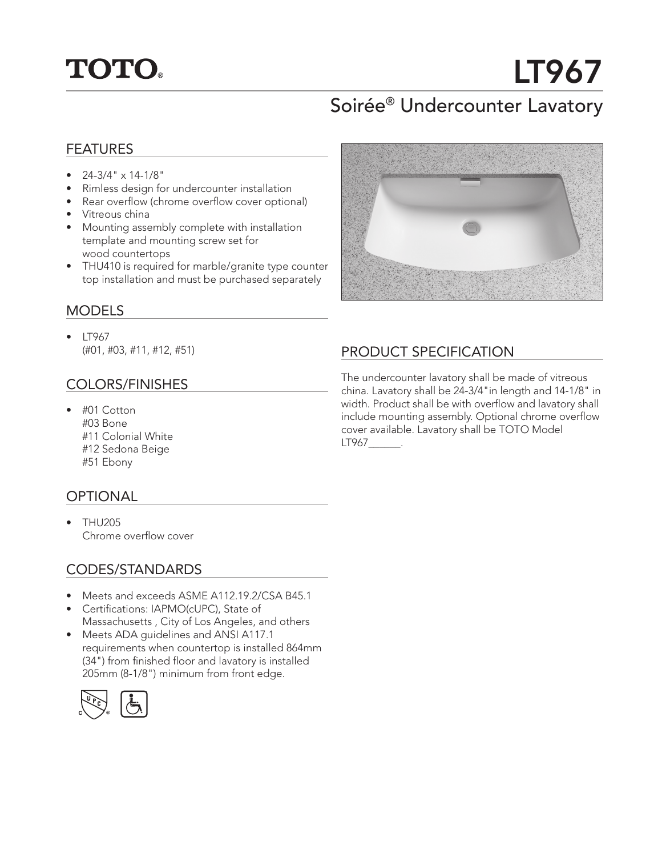

# LT967

# Soirée® Undercounter Lavatory

#### FEATURES

- $24-3/4$ "  $\times$  14-1/8"
- Rimless design for undercounter installation
- Rear overflow (chrome overflow cover optional)
- Vitreous china
- Mounting assembly complete with installation template and mounting screw set for wood countertops
- THU410 is required for marble/granite type counter top installation and must be purchased separately

#### MODELS

• LT967 (#01, #03, #11, #12, #51)

#### COLORS/FINISHES

• #01 Cotton #03 Bone #11 Colonial White #12 Sedona Beige #51 Ebony

#### **OPTIONAL**

• THU205 Chrome overflow cover

#### CODES/STANDARDS

- Meets and exceeds ASME A112.19.2/CSA B45.1
- Certifications: IAPMO(cUPC), State of Massachusetts , City of Los Angeles, and others
- Meets ADA guidelines and ANSI A117.1 requirements when countertop is installed 864mm (34") from finished floor and lavatory is installed 205mm (8-1/8") minimum from front edge.





### PRODUCT SPECIFICATION

The undercounter lavatory shall be made of vitreous china. Lavatory shall be 24-3/4"in length and 14-1/8" in width. Product shall be with overflow and lavatory shall include mounting assembly. Optional chrome overflow cover available. Lavatory shall be TOTO Model LT967\_\_\_\_\_\_.